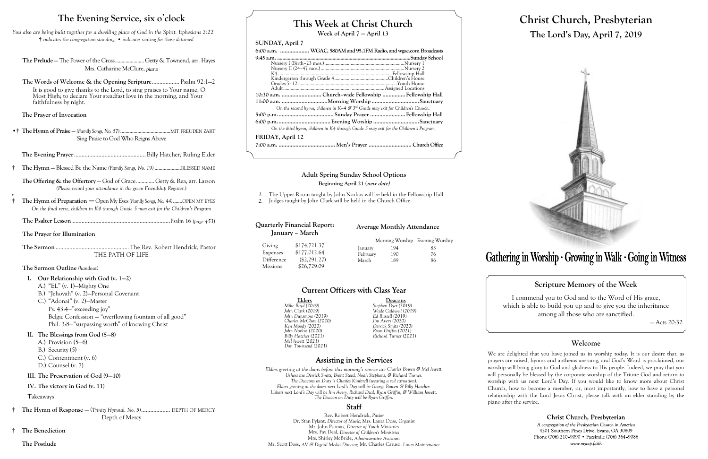# **This Week at Christ Church**

**Week of April 7 — April 13**

### **SUNDAY, April 7**

| 6:00 a.m.  WGAC, 580AM and 95.1FM Radio, and wgac.com Broadcasts                      |  |  |
|---------------------------------------------------------------------------------------|--|--|
|                                                                                       |  |  |
|                                                                                       |  |  |
|                                                                                       |  |  |
|                                                                                       |  |  |
|                                                                                       |  |  |
|                                                                                       |  |  |
|                                                                                       |  |  |
| 10:30 a.m.  Church-wide Fellowship  Fellowship Hall                                   |  |  |
| 11:00 a.m. Morning Worship Sanctuary                                                  |  |  |
| On the second hymn, children in K-4 & $3^{rd}$ Grade may exit for Children's Church.  |  |  |
|                                                                                       |  |  |
|                                                                                       |  |  |
| On the third hymn, children in K4 through Grade 5 may exit for the Children's Program |  |  |
| FRIDAY, April 12                                                                      |  |  |
|                                                                                       |  |  |
|                                                                                       |  |  |

Elders Deacons<br>
Mike Boyd (2019) Stephen Dyer (2019) *Mike Boyd (2019) Stephen Dyer (2019) John Dunsmore (2019) Ed Russell (2019) Charles McClure (2020) Jim Avery (2020) John Norkus (2020) Ryan Griffin (2021) Billy Hatcher (2021) Richard Turner (2021) Mel Jewett (2021) Don Townsend (2021)*

*John Clark (2019) Wade Caldwell (2019) Ken Moody (2020) Derrick Smits (2020)*

### **Assisting in the Services**

*Elders greeting at the doors before this morning's service are Charles Bowen & Mel Jewett. Ushers are Derrick Smits, Brent Steed, Noah Stephens, & Richard Turner. The Deacons on Duty is Charles Kimbrell (wearing a red carnation). Elders greeting at the doors next Lord's Day will be George Bowen & Billy Hatcher. Ushers next Lord's Day will be Jim Avery, Richard Deal, Ryan Griffin, & William Jewett. The Deacon on Duty will be Ryan Griffin.*

### **Staff**

Rev. Robert Hendrick, *Pastor* Dr. Stan Pylant, *Director of Music;* Mrs. Laura Doss, *Organist* Mr. John Psomas, *Director of Youth Ministries* Mrs. Fay Deal, *Director of Children's Ministries* Mrs. Shirley McBride, *Administrative Assistant* Mr. Scott Doss, *AV & Digital Media Director;* Mr. Charles Caruso, *Lawn Maintenance*

# **Christ Church, Presbyterian The Lord's Day, April 7, 2019**



# Gathering in Worship · Growing in Walk · Going in Witness

### **Scripture Memory of the Week**

**Quarterly Financial Report: January – March** Giving \$174,721.37

> I commend you to God and to the Word of His grace, which is able to build you up and to give you the inheritance among all those who are sanctified.

Morning Worship Evening Worship January 194 83 February 190 76 March 189 86

### **Current Officers with Class Year**

— Acts 20:32

### **Welcome**

Christ Church, Presbyterian A congregation of the Presbyterian Church in America 4201 Southern Pines Drive, Evans, GA 30809 Phone (706) 210-9090 · Facsimile (706) 364-9086 www.myccp.faith

We are delighted that you have joined us in worship today. It is our desire that, as prayers are raised, hymns and anthems are sung, and God's Word is proclaimed, our worship will bring glory to God and gladness to His people. Indeed, we pray that you will personally be blessed by the corporate worship of the Triune God and return to worship with us next Lord's Day. If you would like to know more about Christ Church, how to become a member, or, most importantly, how to have a personal relationship with the Lord Jesus Christ, please talk with an elder standing by the piano after the service.

### **The Evening Service, six o**'**clock**

*You also are being built together for a dwelling place of God in the Spirit. Ephesians 2:22* † *indicates the congregation standing;* • *indicates seating for those detained*

**The Prelude** — The Power of the Cross......................Getty & Townend, arr. Hayes Mrs. Catharine McClure, *piano*

**The Words of Welcome & the Opening Scripture**.................. Psalm 92:1—2 It is good to give thanks to the Lord, to sing praises to Your name, O Most High; to declare Your steadfast love in the morning, and Your faithfulness by night.

**The Prayer of Invocation**

•† **The Hymn of Praise** — *(Family Songs, No. 57)*......................................MIT FREUDEN ZART Sing Praise to God Who Reigns Above

**The Evening Prayer**...............................................Billy Hatcher, Ruling Elder

**† The Hymn** — Blessed Be the Name *(Family Songs, No. 19)* ....................BLESSED NAME

**The Offering & the Offertory** — God of Grace............. Getty & Rea, arr. Larson *(Please record your attendance in the green Friendship Register.)*

*v*

- **† The Hymn of Preparation** —Open My Eyes *(Family Songs, No. 44)*.......OPEN MY EYES *On the final verse, children in K4 through Grade 5 may exit for the Children's Program*
	- **The Psalter Lesson** ................................................................Psalm 16 *(page 453)*

**The Prayer for Illumination**

**The Sermon** ................................................The Rev. Robert Hendrick, Pastor THE PATH OF LIFE

### **The Sermon Outline** *(handout)*

- **I. Our Relationship with God (v. 1—2)**
	- A.) "EL" (v. 1)—Mighty One
	- B.) "Jehovah" (v. 2)—Personal Covenant
	- C.) "Adonai" (v. 2)—Master

Ps. 43:4—"exceeding joy" Belgic Confession — "overflowing fountain of all good" Phil. 3:8—"surpassing worth" of knowing Christ

### **II. The Blessings from God (5—8)**

- A.) Provision (5—6)
- B.) Security (5)
- C.) Contentment (v. 6)
- D.) Counsel (v. 7)

### **III. The Preservation of God (9—10)**

### **IV. The victory in God (v. 11)**

### Takeaways

- **† The Hymn of Response —** (*Trinity Hymnal, No. 5)*................... DEPTH OF MERCY Depth of Mercy
- † **The Benediction**

### **The Postlude**

Expenses \$177,012.64 Difference (\$2,291.27) Missions \$26,729.09

**Average Monthly Attendance**

# **Adult Spring Sunday School Options**

### **Beginning April 21 (new date)**

- *1.* The Upper Room taught by John Norkus will be held in the Fellowship Hall
- *2.* Judges taught by John Clark will be held in the Church Office